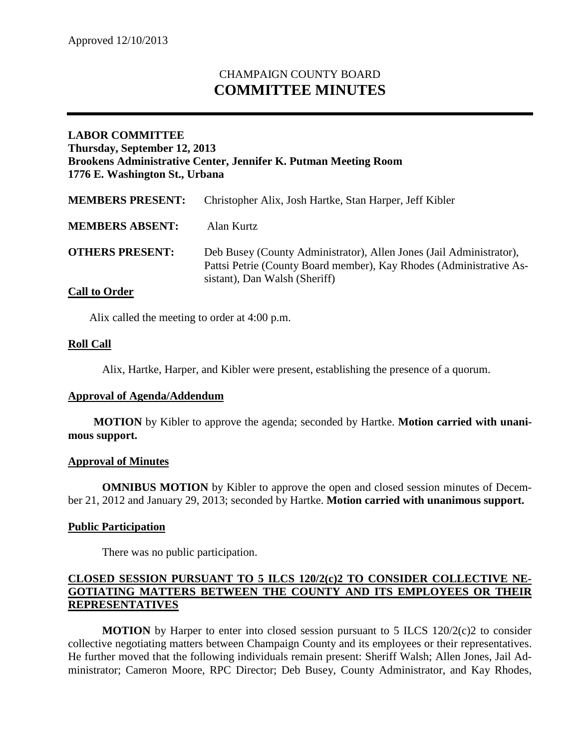# CHAMPAIGN COUNTY BOARD **COMMITTEE MINUTES**

# **LABOR COMMITTEE Thursday, September 12, 2013 Brookens Administrative Center, Jennifer K. Putman Meeting Room 1776 E. Washington St., Urbana**

| <b>MEMBERS PRESENT:</b>   | Christopher Alix, Josh Hartke, Stan Harper, Jeff Kibler                                                                                                                     |
|---------------------------|-----------------------------------------------------------------------------------------------------------------------------------------------------------------------------|
| <b>MEMBERS ABSENT:</b>    | Alan Kurtz                                                                                                                                                                  |
| <b>OTHERS PRESENT:</b>    | Deb Busey (County Administrator), Allen Jones (Jail Administrator),<br>Pattsi Petrie (County Board member), Kay Rhodes (Administrative As-<br>sistant), Dan Walsh (Sheriff) |
| $\sim$ 11 $\sim$ $\sim$ 1 |                                                                                                                                                                             |

## **Call to Order**

Alix called the meeting to order at 4:00 p.m.

## **Roll Call**

Alix, Hartke, Harper, and Kibler were present, establishing the presence of a quorum.

#### **Approval of Agenda/Addendum**

**MOTION** by Kibler to approve the agenda; seconded by Hartke. **Motion carried with unanimous support.**

#### **Approval of Minutes**

**OMNIBUS MOTION** by Kibler to approve the open and closed session minutes of December 21, 2012 and January 29, 2013; seconded by Hartke. **Motion carried with unanimous support.**

## **Public Participation**

There was no public participation.

## **CLOSED SESSION PURSUANT TO 5 ILCS 120/2(c)2 TO CONSIDER COLLECTIVE NE-GOTIATING MATTERS BETWEEN THE COUNTY AND ITS EMPLOYEES OR THEIR REPRESENTATIVES**

**MOTION** by Harper to enter into closed session pursuant to 5 ILCS  $120/2(c)$  to consider collective negotiating matters between Champaign County and its employees or their representatives. He further moved that the following individuals remain present: Sheriff Walsh; Allen Jones, Jail Administrator; Cameron Moore, RPC Director; Deb Busey, County Administrator, and Kay Rhodes,